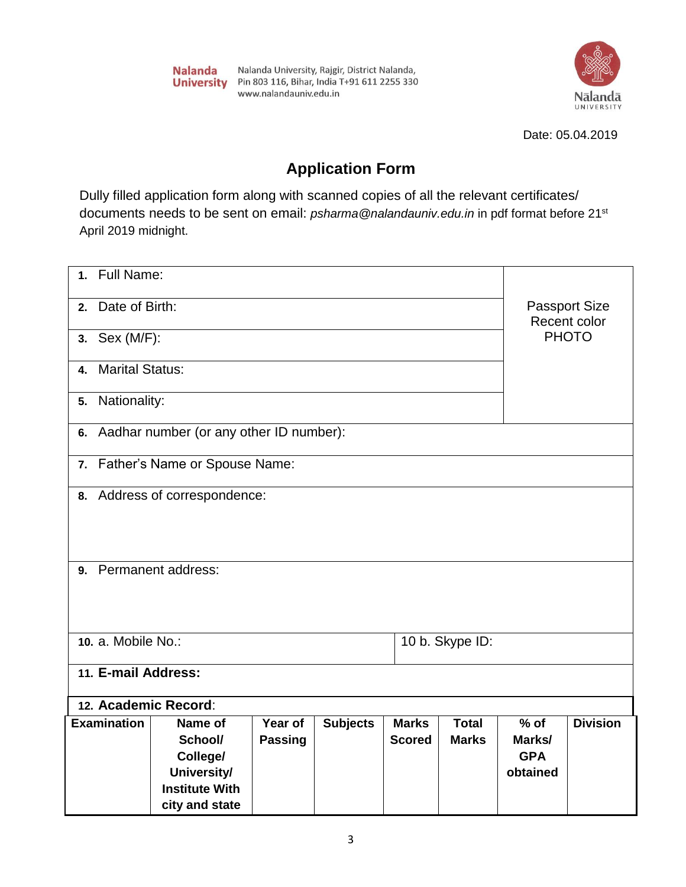

Date: 05.04.2019

## **Application Form**

Dully filled application form along with scanned copies of all the relevant certificates/ documents needs to be sent on email: *psharma@nalandauniv.edu.in* in pdf format before 21st April 2019 midnight.

| <b>Full Name:</b><br>$\mathbf{1}$ .   |                                         |                |                 |               |              |                                      |                 |
|---------------------------------------|-----------------------------------------|----------------|-----------------|---------------|--------------|--------------------------------------|-----------------|
| Date of Birth:<br>2.                  |                                         |                |                 |               |              | <b>Passport Size</b><br>Recent color |                 |
| 3. Sex (M/F):                         |                                         |                |                 |               |              |                                      | <b>PHOTO</b>    |
| <b>Marital Status:</b><br>4.          |                                         |                |                 |               |              |                                      |                 |
| Nationality:<br>5.                    |                                         |                |                 |               |              |                                      |                 |
| 6.                                    | Aadhar number (or any other ID number): |                |                 |               |              |                                      |                 |
|                                       | 7. Father's Name or Spouse Name:        |                |                 |               |              |                                      |                 |
|                                       | 8. Address of correspondence:           |                |                 |               |              |                                      |                 |
|                                       |                                         |                |                 |               |              |                                      |                 |
|                                       |                                         |                |                 |               |              |                                      |                 |
| 9. Permanent address:                 |                                         |                |                 |               |              |                                      |                 |
|                                       |                                         |                |                 |               |              |                                      |                 |
| 10. a. Mobile No.:<br>10 b. Skype ID: |                                         |                |                 |               |              |                                      |                 |
| 11. E-mail Address:                   |                                         |                |                 |               |              |                                      |                 |
| 12. Academic Record:                  |                                         |                |                 |               |              |                                      |                 |
| <b>Examination</b>                    | Name of                                 | Year of        | <b>Subjects</b> | <b>Marks</b>  | <b>Total</b> | $%$ of                               | <b>Division</b> |
|                                       | School/                                 | <b>Passing</b> |                 | <b>Scored</b> | <b>Marks</b> | Marks/                               |                 |
|                                       | College/                                |                |                 |               |              | <b>GPA</b>                           |                 |
|                                       | University/                             |                |                 |               |              | obtained                             |                 |
|                                       | <b>Institute With</b>                   |                |                 |               |              |                                      |                 |
|                                       | city and state                          |                |                 |               |              |                                      |                 |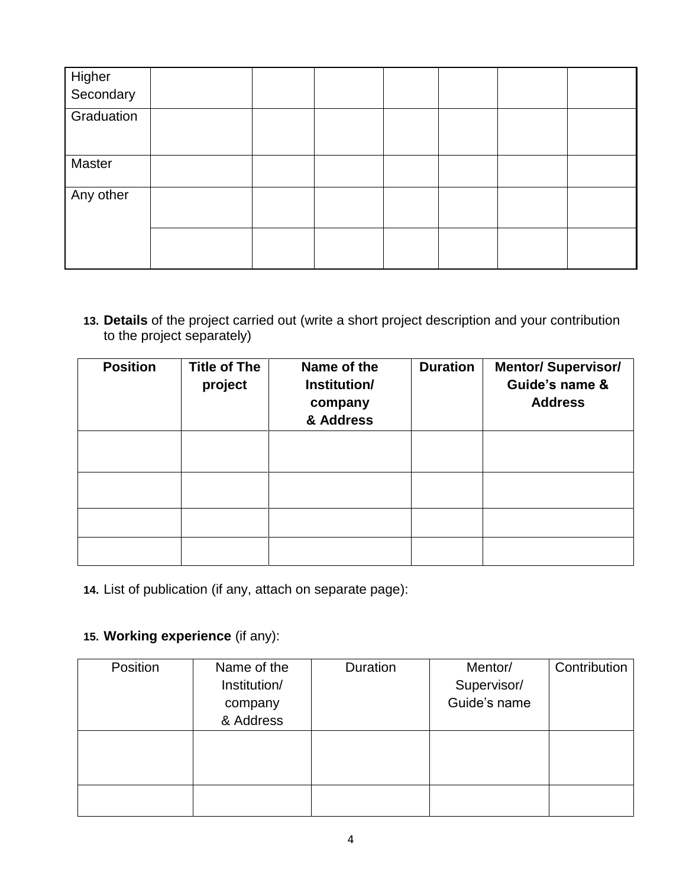| Higher<br>Secondary |  |  |  |  |
|---------------------|--|--|--|--|
| Graduation          |  |  |  |  |
| Master              |  |  |  |  |
| Any other           |  |  |  |  |
|                     |  |  |  |  |

**13. Details** of the project carried out (write a short project description and your contribution to the project separately)

| <b>Position</b> | <b>Title of The</b><br>project | Name of the<br>Institution/<br>company<br>& Address | <b>Duration</b> | <b>Mentor/ Supervisor/</b><br>Guide's name &<br><b>Address</b> |
|-----------------|--------------------------------|-----------------------------------------------------|-----------------|----------------------------------------------------------------|
|                 |                                |                                                     |                 |                                                                |
|                 |                                |                                                     |                 |                                                                |
|                 |                                |                                                     |                 |                                                                |
|                 |                                |                                                     |                 |                                                                |

**14.** List of publication (if any, attach on separate page):

## **15. Working experience** (if any):

| Position | Name of the  | Duration | Mentor/      | Contribution |
|----------|--------------|----------|--------------|--------------|
|          | Institution/ |          | Supervisor/  |              |
|          | company      |          | Guide's name |              |
|          | & Address    |          |              |              |
|          |              |          |              |              |
|          |              |          |              |              |
|          |              |          |              |              |
|          |              |          |              |              |
|          |              |          |              |              |